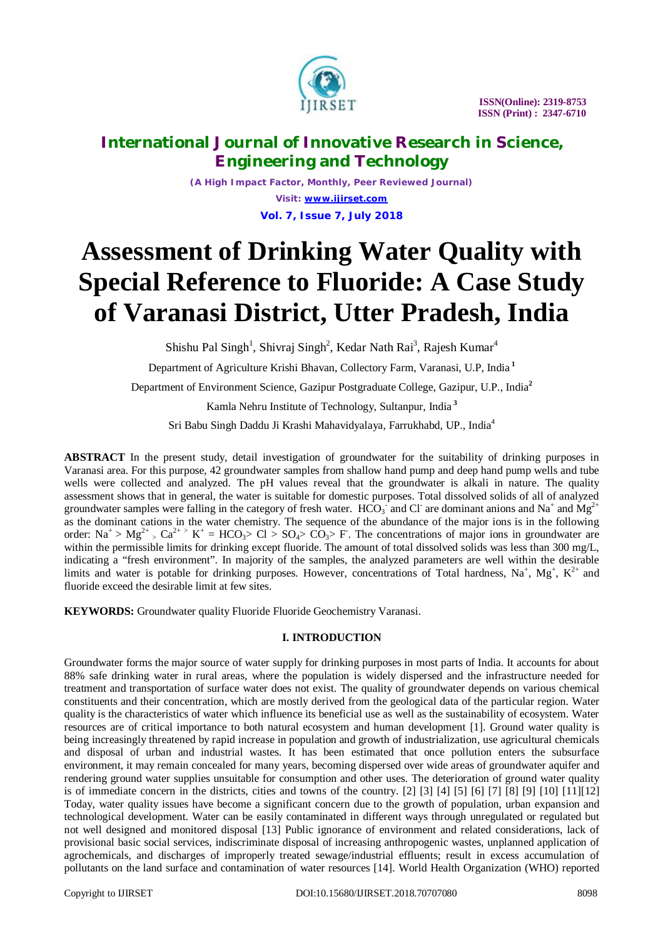

*(A High Impact Factor, Monthly, Peer Reviewed Journal) Visit: [www.ijirset.com](http://www.ijirset.com)* **Vol. 7, Issue 7, July 2018**

# **Assessment of Drinking Water Quality with Special Reference to Fluoride: A Case Study of Varanasi District, Utter Pradesh, India**

Shishu Pal Singh<sup>1</sup>, Shivraj Singh<sup>2</sup>, Kedar Nath Rai<sup>3</sup>, Rajesh Kumar<sup>4</sup>

Department of Agriculture Krishi Bhavan, Collectory Farm, Varanasi, U.P, India **<sup>1</sup>**

Department of Environment Science, Gazipur Postgraduate College, Gazipur, U.P., India**<sup>2</sup>**

Kamla Nehru Institute of Technology, Sultanpur, India **<sup>3</sup>**

Sri Babu Singh Daddu Ji Krashi Mahavidyalaya, Farrukhabd, UP., India<sup>4</sup>

**ABSTRACT** In the present study, detail investigation of groundwater for the suitability of drinking purposes in Varanasi area. For this purpose, 42 groundwater samples from shallow hand pump and deep hand pump wells and tube wells were collected and analyzed. The pH values reveal that the groundwater is alkali in nature. The quality assessment shows that in general, the water is suitable for domestic purposes. Total dissolved solids of all of analyzed groundwater samples were falling in the category of fresh water.  $HCO_3^-$  and Cl<sup>-</sup> are dominant anions and Na<sup>+</sup> and Mg<sup>2+</sup> as the dominant cations in the water chemistry. The sequence of the abundance of the major ions is in the following order:  $Na^+ > Mg^{2+} > Ca^{2+} > K^+ = HCO_3 > Cl > SO_4 > CO_3 > F$ . The concentrations of major ions in groundwater are within the permissible limits for drinking except fluoride. The amount of total dissolved solids was less than 300 mg/L, indicating a "fresh environment". In majority of the samples, the analyzed parameters are well within the desirable limits and water is potable for drinking purposes. However, concentrations of Total hardness, Na<sup>+</sup>, Mg<sup>+</sup>, K<sup>2+</sup> and fluoride exceed the desirable limit at few sites.

**KEYWORDS:** Groundwater quality Fluoride Fluoride Geochemistry Varanasi.

#### **I. INTRODUCTION**

Groundwater forms the major source of water supply for drinking purposes in most parts of India. It accounts for about 88% safe drinking water in rural areas, where the population is widely dispersed and the infrastructure needed for treatment and transportation of surface water does not exist. The quality of groundwater depends on various chemical constituents and their concentration, which are mostly derived from the geological data of the particular region. Water quality is the characteristics of water which influence its beneficial use as well as the sustainability of ecosystem. Water resources are of critical importance to both natural ecosystem and human development [1]. Ground water quality is being increasingly threatened by rapid increase in population and growth of industrialization, use agricultural chemicals and disposal of urban and industrial wastes. It has been estimated that once pollution enters the subsurface environment, it may remain concealed for many years, becoming dispersed over wide areas of groundwater aquifer and rendering ground water supplies unsuitable for consumption and other uses. The deterioration of ground water quality is of immediate concern in the districts, cities and towns of the country. [2] [3] [4] [5] [6] [7] [8] [9] [10] [11][12] Today, water quality issues have become a significant concern due to the growth of population, urban expansion and technological development. Water can be easily contaminated in different ways through unregulated or regulated but not well designed and monitored disposal [13] Public ignorance of environment and related considerations, lack of provisional basic social services, indiscriminate disposal of increasing anthropogenic wastes, unplanned application of agrochemicals, and discharges of improperly treated sewage/industrial effluents; result in excess accumulation of pollutants on the land surface and contamination of water resources [14]. World Health Organization (WHO) reported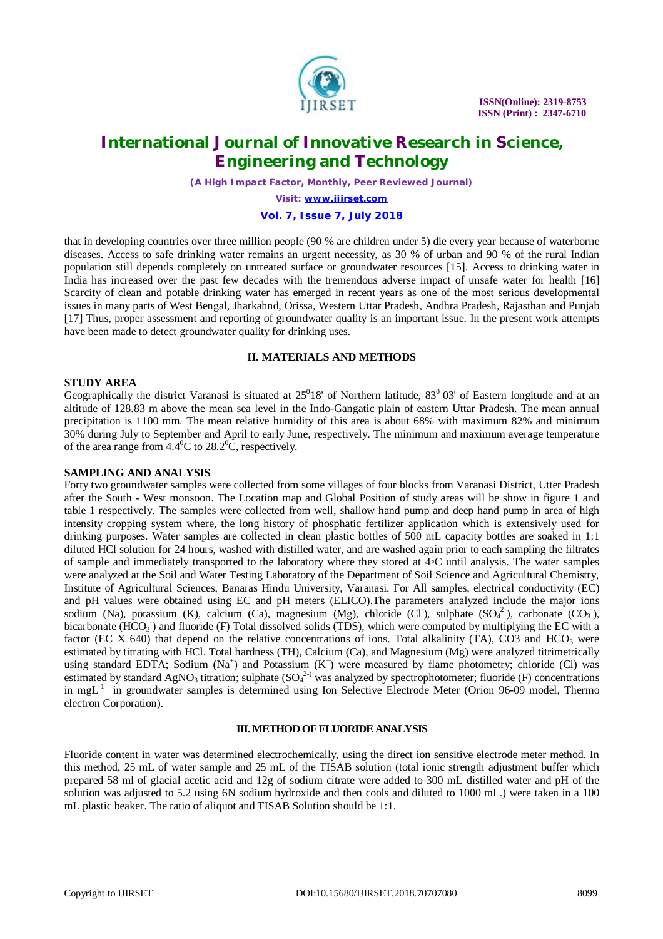

 **ISSN(Online): 2319-8753 ISSN (Print) : 2347-6710**

### **International Journal of Innovative Research in Science, Engineering and Technology**

*(A High Impact Factor, Monthly, Peer Reviewed Journal)*

*Visit: [www.ijirset.com](http://www.ijirset.com)*

#### **Vol. 7, Issue 7, July 2018**

that in developing countries over three million people (90 % are children under 5) die every year because of waterborne diseases. Access to safe drinking water remains an urgent necessity, as 30 % of urban and 90 % of the rural Indian population still depends completely on untreated surface or groundwater resources [15]. Access to drinking water in India has increased over the past few decades with the tremendous adverse impact of unsafe water for health [16] Scarcity of clean and potable drinking water has emerged in recent years as one of the most serious developmental issues in many parts of West Bengal, Jharkahnd, Orissa, Western Uttar Pradesh, Andhra Pradesh, Rajasthan and Punjab [17] Thus, proper assessment and reporting of groundwater quality is an important issue. In the present work attempts have been made to detect groundwater quality for drinking uses.

#### **II. MATERIALS AND METHODS**

#### **STUDY AREA**

Geographically the district Varanasi is situated at  $25^018'$  of Northern latitude,  $83^003'$  of Eastern longitude and at an altitude of 128.83 m above the mean sea level in the Indo-Gangatic plain of eastern Uttar Pradesh. The mean annual precipitation is 1100 mm. The mean relative humidity of this area is about 68% with maximum 82% and minimum 30% during July to September and April to early June, respectively. The minimum and maximum average temperature of the area range from  $4.4^{\circ}$ C to  $28.2^{\circ}$ C, respectively.

#### **SAMPLING AND ANALYSIS**

Forty two groundwater samples were collected from some villages of four blocks from Varanasi District, Utter Pradesh after the South - West monsoon. The Location map and Global Position of study areas will be show in figure 1 and table 1 respectively. The samples were collected from well, shallow hand pump and deep hand pump in area of high intensity cropping system where, the long history of phosphatic fertilizer application which is extensively used for drinking purposes. Water samples are collected in clean plastic bottles of 500 mL capacity bottles are soaked in 1:1 diluted HCl solution for 24 hours, washed with distilled water, and are washed again prior to each sampling the filtrates of sample and immediately transported to the laboratory where they stored at 4◦C until analysis. The water samples were analyzed at the Soil and Water Testing Laboratory of the Department of Soil Science and Agricultural Chemistry, Institute of Agricultural Sciences, Banaras Hindu University, Varanasi. For All samples, electrical conductivity (EC) and pH values were obtained using EC and pH meters (ELICO).The parameters analyzed include the major ions sodium (Na), potassium (K), calcium (Ca), magnesium (Mg), chloride (Cl ), sulphate  $(SO<sub>4</sub><sup>2</sup>)$ , carbonate (CO<sub>3</sub>), bicarbonate (HCO<sub>3</sub>) and fluoride (F) Total dissolved solids (TDS), which were computed by multiplying the EC with a factor (EC X 640) that depend on the relative concentrations of ions. Total alkalinity (TA), CO3 and HCO<sub>3</sub> were estimated by titrating with HCl. Total hardness (TH), Calcium (Ca), and Magnesium (Mg) were analyzed titrimetrically using standard EDTA; Sodium  $(Na^+)$  and Potassium  $(K^+)$  were measured by flame photometry; chloride (Cl) was estimated by standard AgNO<sub>3</sub> titration; sulphate  $(SO_4^{2-})$  was analyzed by spectrophotometer; fluoride (F) concentrations in mgL<sup>-1</sup> in groundwater samples is determined using Ion Selective Electrode Meter (Orion 96-09 model, Thermo electron Corporation).

#### **III.METHOD OF FLUORIDE ANALYSIS**

Fluoride content in water was determined electrochemically, using the direct ion sensitive electrode meter method. In this method, 25 mL of water sample and 25 mL of the TISAB solution (total ionic strength adjustment buffer which prepared 58 ml of glacial acetic acid and 12g of sodium citrate were added to 300 mL distilled water and pH of the solution was adjusted to 5.2 using 6N sodium hydroxide and then cools and diluted to 1000 mL.) were taken in a 100 mL plastic beaker. The ratio of aliquot and TISAB Solution should be 1:1.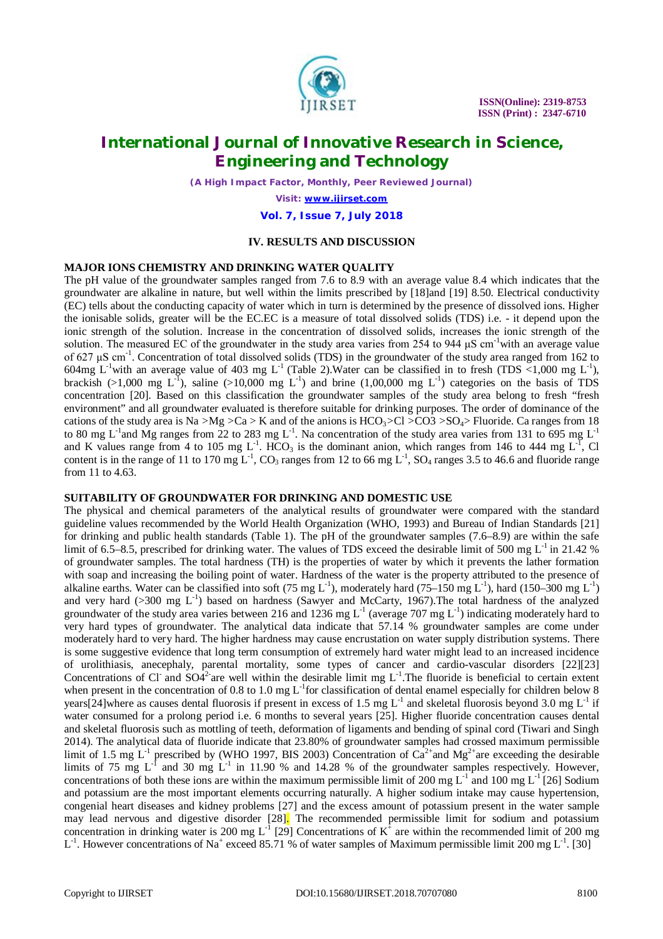

*(A High Impact Factor, Monthly, Peer Reviewed Journal)*

*Visit: [www.ijirset.com](http://www.ijirset.com)*

**Vol. 7, Issue 7, July 2018**

#### **IV. RESULTS AND DISCUSSION**

#### **MAJOR IONS CHEMISTRY AND DRINKING WATER QUALITY**

The pH value of the groundwater samples ranged from 7.6 to 8.9 with an average value 8.4 which indicates that the groundwater are alkaline in nature, but well within the limits prescribed by [18]and [19] 8.50. Electrical conductivity (EC) tells about the conducting capacity of water which in turn is determined by the presence of dissolved ions. Higher the ionisable solids, greater will be the EC.EC is a measure of total dissolved solids (TDS) i.e. - it depend upon the ionic strength of the solution. Increase in the concentration of dissolved solids, increases the ionic strength of the solution. The measured EC of the groundwater in the study area varies from 254 to 944  $\mu$ S cm<sup>-1</sup>with an average value of 627  $\mu$ S cm<sup>-1</sup>. Concentration of total dissolved solids (TDS) in the groundwater of the study area ranged from 162 to 604mg L<sup>-1</sup>with an average value of 403 mg L<sup>-1</sup> (Table 2). Water can be classified in to fresh (TDS <1,000 mg L<sup>-1</sup>), brackish (>1,000 mg L<sup>-1</sup>), saline (>10,000 mg L<sup>-1</sup>) and brine (1,00,000 mg L<sup>-1</sup>) categories on the basis of TDS concentration [20]. Based on this classification the groundwater samples of the study area belong to fresh "fresh environment" and all groundwater evaluated is therefore suitable for drinking purposes. The order of dominance of the cations of the study area is Na >Mg >Ca > K and of the anions is  $HCO_3$ >Cl  $\geq$ CO3 >SO<sub>4</sub>> Fluoride. Ca ranges from 18 to 80 mg L<sup>-1</sup> and Mg ranges from 22 to 283 mg L<sup>-1</sup>. Na concentration of the study area varies from 131 to 695 mg L<sup>-1</sup> and K values range from 4 to 105 mg L<sup>-1</sup>. HCO<sub>3</sub> is the dominant anion, which ranges from 146 to 444 mg L<sup>-1</sup>, Cl content is in the range of 11 to 170 mg  $L^{-1}$ , CO<sub>3</sub> ranges from 12 to 66 mg  $L^{-1}$ , SO<sub>4</sub> ranges 3.5 to 46.6 and fluoride range from 11 to 4.63.

#### **SUITABILITY OF GROUNDWATER FOR DRINKING AND DOMESTIC USE**

The physical and chemical parameters of the analytical results of groundwater were compared with the standard guideline values recommended by the World Health Organization (WHO, 1993) and Bureau of Indian Standards [21] for drinking and public health standards (Table 1). The pH of the groundwater samples (7.6–8.9) are within the safe limit of 6.5–8.5, prescribed for drinking water. The values of TDS exceed the desirable limit of 500 mg  $L^{-1}$  in 21.42 % of groundwater samples. The total hardness (TH) is the properties of water by which it prevents the lather formation with soap and increasing the boiling point of water. Hardness of the water is the property attributed to the presence of alkaline earths. Water can be classified into soft (75 mg L<sup>-1</sup>), moderately hard (75–150 mg L<sup>-1</sup>), hard (150–300 mg L<sup>-1</sup>) and very hard ( $>$ 300 mg L<sup>-1</sup>) based on hardness (Sawyer and McCarty, 1967). The total hardness of the analyzed groundwater of the study area varies between 216 and 1236 mg  $L^{-1}$  (average 707 mg  $L^{-1}$ ) indicating moderately hard to very hard types of groundwater. The analytical data indicate that 57.14 % groundwater samples are come under moderately hard to very hard. The higher hardness may cause encrustation on water supply distribution systems. There is some suggestive evidence that long term consumption of extremely hard water might lead to an increased incidence of urolithiasis, anecephaly, parental mortality, some types of cancer and cardio-vascular disorders [22][23] Concentrations of Cl<sup>-</sup> and SO4<sup>2-</sup>are well within the desirable limit mg  $L^{-1}$ . The fluoride is beneficial to certain extent when present in the concentration of 0.8 to 1.0 mg  $L^{-1}$  for classification of dental enamel especially for children below 8 years[24]where as causes dental fluorosis if present in excess of 1.5 mg  $L^1$  and skeletal fluorosis beyond 3.0 mg  $L^1$  if water consumed for a prolong period i.e. 6 months to several years [25]. Higher fluoride concentration causes dental and skeletal fluorosis such as mottling of teeth, deformation of ligaments and bending of spinal cord (Tiwari and Singh 2014). The analytical data of fluoride indicate that 23.80% of groundwater samples had crossed maximum permissible limit of 1.5 mg  $L^{-1}$  prescribed by (WHO 1997, BIS 2003) Concentration of  $Ca^{2+}$  and Mg<sup>2+</sup> are exceeding the desirable limits of 75 mg  $L^{-1}$  and 30 mg  $L^{-1}$  in 11.90 % and 14.28 % of the groundwater samples respectively. However, concentrations of both these ions are within the maximum permissible limit of 200 mg  $L^{-1}$  and 100 mg  $L^{-1}$  [26] Sodium and potassium are the most important elements occurring naturally. A higher sodium intake may cause hypertension, congenial heart diseases and kidney problems [27] and the excess amount of potassium present in the water sample may lead nervous and digestive disorder [28]. The recommended permissible limit for sodium and potassium concentration in drinking water is 200 mg L<sup>-1</sup> [29] Concentrations of  $K^{\dagger}$  are within the recommended limit of 200 mg  $L^{-1}$ . However concentrations of Na<sup>+</sup> exceed 85.71 % of water samples of Maximum permissible limit 200 mg  $L^{-1}$ . [30]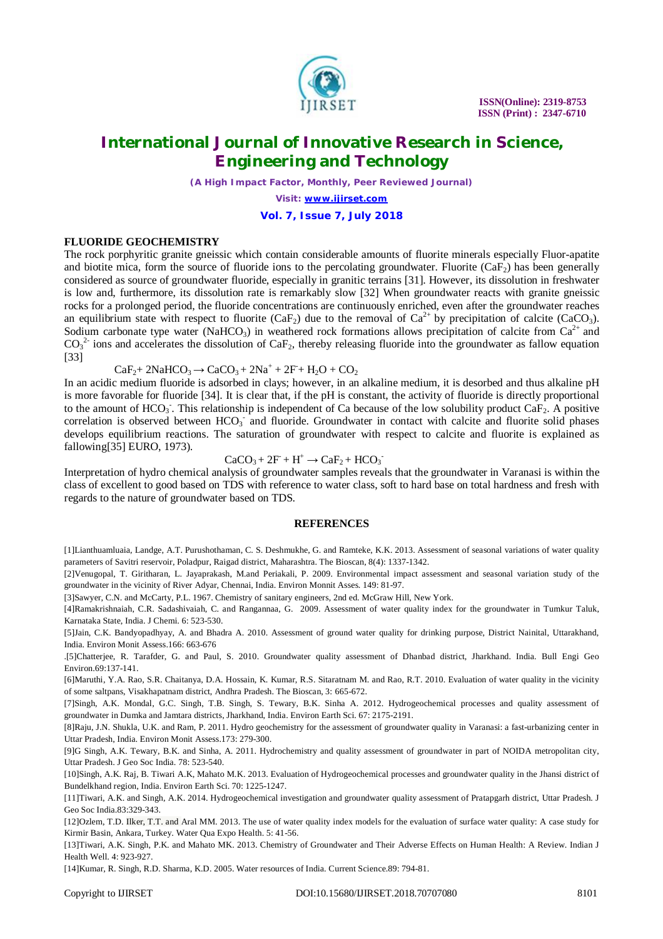

*(A High Impact Factor, Monthly, Peer Reviewed Journal)*

*Visit: [www.ijirset.com](http://www.ijirset.com)*

**Vol. 7, Issue 7, July 2018**

#### **FLUORIDE GEOCHEMISTRY**

The rock porphyritic granite gneissic which contain considerable amounts of fluorite minerals especially Fluor-apatite and biotite mica, form the source of fluoride ions to the percolating groundwater. Fluorite  $(CaF_2)$  has been generally considered as source of groundwater fluoride, especially in granitic terrains [31]. However, its dissolution in freshwater is low and, furthermore, its dissolution rate is remarkably slow [32] When groundwater reacts with granite gneissic rocks for a prolonged period, the fluoride concentrations are continuously enriched, even after the groundwater reaches an equilibrium state with respect to fluorite (CaF<sub>2</sub>) due to the removal of  $Ca^{2+}$  by precipitation of calcite (CaCO<sub>3</sub>). Sodium carbonate type water (NaHCO<sub>3</sub>) in weathered rock formations allows precipitation of calcite from  $Ca^{2+}$  and  $CO<sub>3</sub><sup>2</sup>$  ions and accelerates the dissolution of CaF<sub>2</sub>, thereby releasing fluoride into the groundwater as fallow equation [33]

 $CaF_2+2NaHCO_3 \rightarrow CaCO_3+2Na^+ + 2F + H_2O + CO_2$ 

In an acidic medium fluoride is adsorbed in clays; however, in an alkaline medium, it is desorbed and thus alkaline pH is more favorable for fluoride [34]. It is clear that, if the pH is constant, the activity of fluoride is directly proportional to the amount of  $HCO_3$ . This relationship is independent of Ca because of the low solubility product  $CaF_2$ . A positive correlation is observed between HCO<sub>3</sub> and fluoride. Groundwater in contact with calcite and fluorite solid phases develops equilibrium reactions. The saturation of groundwater with respect to calcite and fluorite is explained as fallowing[35] EURO, 1973).

$$
CaCO3 + 2F + H+ \rightarrow CaF2 + HCO3
$$

Interpretation of hydro chemical analysis of groundwater samples reveals that the groundwater in Varanasi is within the class of excellent to good based on TDS with reference to water class, soft to hard base on total hardness and fresh with regards to the nature of groundwater based on TDS.

#### **REFERENCES**

[1]Lianthuamluaia, Landge, A.T. Purushothaman, C. S. Deshmukhe, G. and Ramteke, K.K. 2013. Assessment of seasonal variations of water quality parameters of Savitri reservoir, Poladpur, Raigad district, Maharashtra. The Bioscan, 8(4): 1337-1342.

[2]Venugopal, T. Giritharan, L. Jayaprakash, M.and Periakali, P. 2009. Environmental impact assessment and seasonal variation study of the groundwater in the vicinity of River Adyar, Chennai, India. Environ Monnit Asses. 149: 81-97.

[3]Sawyer, C.N. and McCarty, P.L. 1967. Chemistry of sanitary engineers, 2nd ed. McGraw Hill, New York.

[4]Ramakrishnaiah, C.R. Sadashivaiah, C. and Rangannaa, G. 2009. Assessment of water quality index for the groundwater in Tumkur Taluk, Karnataka State, India. J Chemi. 6: 523-530.

[5]Jain, C.K. Bandyopadhyay, A. and Bhadra A. 2010. Assessment of ground water quality for drinking purpose, District Nainital, Uttarakhand, India. Environ Monit Assess.166: 663-676

.[5]Chatterjee, R. Tarafder, G. and Paul, S. 2010. Groundwater quality assessment of Dhanbad district, Jharkhand. India. Bull Engi Geo Environ.69:137-141.

[6]Maruthi, Y.A. Rao, S.R. Chaitanya, D.A. Hossain, K. Kumar, R.S. Sitaratnam M. and Rao, R.T. 2010. Evaluation of water quality in the vicinity of some saltpans, Visakhapatnam district, Andhra Pradesh. The Bioscan, 3: 665-672.

[7]Singh, A.K. Mondal, G.C. Singh, T.B. Singh, S. Tewary, B.K. Sinha A. 2012. Hydrogeochemical processes and quality assessment of groundwater in Dumka and Jamtara districts, Jharkhand, India. Environ Earth Sci. 67: 2175-2191.

[8]Raju, J.N. Shukla, U.K. and Ram, P. 2011. Hydro geochemistry for the assessment of groundwater quality in Varanasi: a fast-urbanizing center in Uttar Pradesh, India. Environ Monit Assess.173: 279-300.

[9]G Singh, A.K. Tewary, B.K. and Sinha, A. 2011. Hydrochemistry and quality assessment of groundwater in part of NOIDA metropolitan city, Uttar Pradesh. J Geo Soc India. 78: 523-540.

[10]Singh, A.K. Raj, B. Tiwari A.K, Mahato M.K. 2013. Evaluation of Hydrogeochemical processes and groundwater quality in the Jhansi district of Bundelkhand region, India. Environ Earth Sci. 70: 1225-1247.

[11]Tiwari, A.K. and Singh, A.K. 2014. Hydrogeochemical investigation and groundwater quality assessment of Pratapgarh district, Uttar Pradesh. J Geo Soc India.83:329-343.

[12]Ozlem, T.D. Ilker, T.T. and Aral MM. 2013. The use of water quality index models for the evaluation of surface water quality: A case study for Kirmir Basin, Ankara, Turkey. Water Qua Expo Health. 5: 41-56.

[13]Tiwari, A.K. Singh, P.K. and Mahato MK. 2013. Chemistry of Groundwater and Their Adverse Effects on Human Health: A Review. Indian J Health Well. 4: 923-927.

[14]Kumar, R. Singh, R.D. Sharma, K.D. 2005. Water resources of India. Current Science.89: 794-81.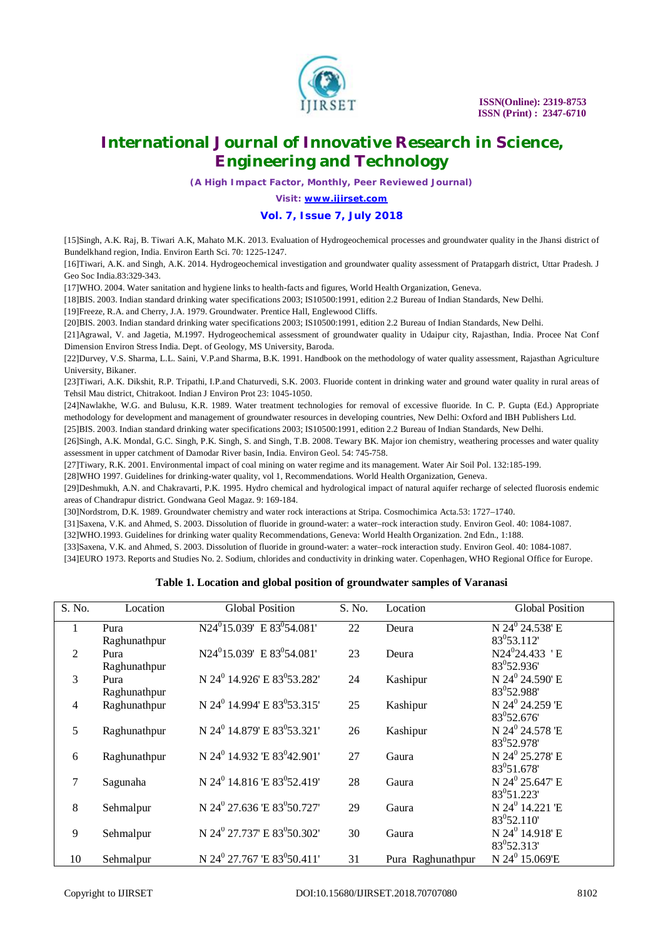

*(A High Impact Factor, Monthly, Peer Reviewed Journal)*

*Visit: [www.ijirset.com](http://www.ijirset.com)*

#### **Vol. 7, Issue 7, July 2018**

[15]Singh, A.K. Raj, B. Tiwari A.K, Mahato M.K. 2013. Evaluation of Hydrogeochemical processes and groundwater quality in the Jhansi district of Bundelkhand region, India. Environ Earth Sci. 70: 1225-1247.

[16]Tiwari, A.K. and Singh, A.K. 2014. Hydrogeochemical investigation and groundwater quality assessment of Pratapgarh district, Uttar Pradesh. J Geo Soc India.83:329-343.

[17]WHO. 2004. Water sanitation and hygiene links to health-facts and figures, World Health Organization, Geneva.

[18]BIS. 2003. Indian standard drinking water specifications 2003; IS10500:1991, edition 2.2 Bureau of Indian Standards, New Delhi.

[19]Freeze, R.A. and Cherry, J.A. 1979. Groundwater. Prentice Hall, Englewood Cliffs.

[20]BIS. 2003. Indian standard drinking water specifications 2003; IS10500:1991, edition 2.2 Bureau of Indian Standards, New Delhi.

[21]Agrawal, V. and Jagetia, M.1997. Hydrogeochemical assessment of groundwater quality in Udaipur city, Rajasthan, India. Procee Nat Conf Dimension Environ Stress India. Dept. of Geology, MS University, Baroda.

[22]Durvey, V.S. Sharma, L.L. Saini, V.P.and Sharma, B.K. 1991. Handbook on the methodology of water quality assessment, Rajasthan Agriculture University, Bikaner.

[23]Tiwari, A.K. Dikshit, R.P. Tripathi, I.P.and Chaturvedi, S.K. 2003. Fluoride content in drinking water and ground water quality in rural areas of Tehsil Mau district, Chitrakoot. Indian J Environ Prot 23: 1045-1050.

[24]Nawlakhe, W.G. and Bulusu, K.R. 1989. Water treatment technologies for removal of excessive fluoride. In C. P. Gupta (Ed.) Appropriate methodology for development and management of groundwater resources in developing countries, New Delhi: Oxford and IBH Publishers Ltd. [25]BIS. 2003. Indian standard drinking water specifications 2003; IS10500:1991, edition 2.2 Bureau of Indian Standards, New Delhi.

[26]Singh, A.K. Mondal, G.C. Singh, P.K. Singh, S. and Singh, T.B. 2008. Tewary BK. Major ion chemistry, weathering processes and water quality assessment in upper catchment of Damodar River basin, India. Environ Geol. 54: 745-758.

[27]Tiwary, R.K. 2001. Environmental impact of coal mining on water regime and its management. Water Air Soil Pol. 132:185-199.

[28]WHO 1997. Guidelines for drinking-water quality, vol 1, Recommendations. World Health Organization, Geneva.

[29]Deshmukh, A.N. and Chakravarti, P.K. 1995. Hydro chemical and hydrological impact of natural aquifer recharge of selected fluorosis endemic areas of Chandrapur district. Gondwana Geol Magaz. 9: 169-184.

[30]Nordstrom, D.K. 1989. Groundwater chemistry and water rock interactions at Stripa. Cosmochimica Acta.53: 1727–1740.

[31]Saxena, V.K. and Ahmed, S. 2003. Dissolution of fluoride in ground-water: a water–rock interaction study. Environ Geol. 40: 1084-1087.

[32]WHO.1993. Guidelines for drinking water quality Recommendations, Geneva: World Health Organization. 2nd Edn., 1:188.

[33]Saxena, V.K. and Ahmed, S. 2003. Dissolution of fluoride in ground-water: a water–rock interaction study. Environ Geol. 40: 1084-1087.

[34]EURO 1973. Reports and Studies No. 2. Sodium, chlorides and conductivity in drinking water. Copenhagen, WHO Regional Office for Europe.

#### **Table 1. Location and global position of groundwater samples of Varanasi**

| S. No. | Location     | <b>Global Position</b>                              | S. No. | Location          | <b>Global Position</b>      |
|--------|--------------|-----------------------------------------------------|--------|-------------------|-----------------------------|
| 1      | Pura         | N24 <sup>0</sup> 15.039' E 83 <sup>0</sup> 54.081'  | 22     | Deura             | N $24^0$ 24.538' E          |
|        | Raghunathpur |                                                     |        |                   | 83 <sup>0</sup> 53.112      |
| 2      | Pura         | N24 <sup>0</sup> 15.039' E 83 <sup>0</sup> 54.081'  | 23     | Deura             | $N24^{0}24.433$ 'E          |
|        | Raghunathpur |                                                     |        |                   | 83 <sup>0</sup> 52.936'     |
| 3      | Pura         | N 24 <sup>0</sup> 14.926' E 83 <sup>0</sup> 53.282' | 24     | Kashipur          | N 24 <sup>0</sup> 24.590' E |
|        | Raghunathpur |                                                     |        |                   | 83 <sup>0</sup> 52.988'     |
| 4      | Raghunathpur | N 24 <sup>0</sup> 14.994' E 83 <sup>0</sup> 53.315' | 25     | Kashipur          | N 24 <sup>0</sup> 24.259 'E |
|        |              |                                                     |        |                   | 83 <sup>0</sup> 52.676      |
| 5      | Raghunathpur | N 24 <sup>0</sup> 14.879' E 83 <sup>0</sup> 53.321' | 26     | Kashipur          | N 24 <sup>0</sup> 24.578 'E |
|        |              |                                                     |        |                   | 83 <sup>0</sup> 52.978'     |
| 6      | Raghunathpur | N 24 <sup>0</sup> 14.932 'E 83 <sup>0</sup> 42.901' | 27     | Gaura             | N 24 <sup>0</sup> 25.278' E |
|        |              |                                                     |        |                   | 83 <sup>0</sup> 51.678'     |
| 7      | Sagunaha     | N 24 <sup>0</sup> 14.816 E 83 <sup>0</sup> 52.419   | 28     | Gaura             | N 24 <sup>0</sup> 25.647' E |
|        |              |                                                     |        |                   | 83 <sup>0</sup> 51.223'     |
| 8      | Sehmalpur    | N 24 <sup>0</sup> 27.636 E 83 <sup>0</sup> 50.727   | 29     | Gaura             | N 24 <sup>0</sup> 14.221 'E |
|        |              |                                                     |        |                   | 83 <sup>0</sup> 52.110      |
| 9      | Sehmalpur    | N 24 <sup>0</sup> 27.737' E 83 <sup>0</sup> 50.302' | 30     | Gaura             | N $24^0$ 14.918' E          |
|        |              |                                                     |        |                   | 83 <sup>0</sup> 52.313'     |
| 10     | Sehmalpur    | N 24 <sup>0</sup> 27.767 'E 83 <sup>0</sup> 50.411' | 31     | Pura Raghunathpur | N 24 <sup>0</sup> 15.069'E  |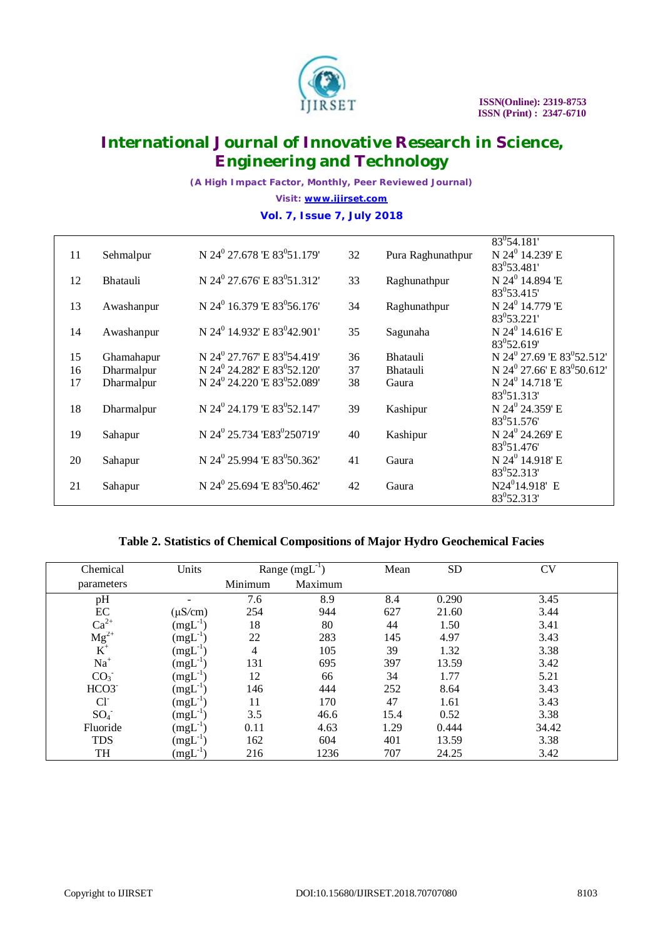

*(A High Impact Factor, Monthly, Peer Reviewed Journal) Visit: [www.ijirset.com](http://www.ijirset.com)* **Vol. 7, Issue 7, July 2018**

| 11 | Sehmalpur       | N 24 <sup>0</sup> 27.678 E 83 <sup>0</sup> 51.179   | 32 | Pura Raghunathpur | $83^{0}54.181'$<br>N 24 <sup>0</sup> 14.239' E         |
|----|-----------------|-----------------------------------------------------|----|-------------------|--------------------------------------------------------|
|    |                 |                                                     |    |                   | 83 <sup>0</sup> 53.481'                                |
| 12 | <b>Bhatauli</b> | N 24 <sup>0</sup> 27.676' E 83 <sup>0</sup> 51.312' | 33 | Raghunathpur      | N 24 <sup>0</sup> 14.894 'E                            |
| 13 |                 | N 24 <sup>0</sup> 16.379 E 83 <sup>0</sup> 56.176   | 34 |                   | 83 <sup>0</sup> 53.415'<br>N 24 <sup>0</sup> 14.779 'E |
|    | Awashanpur      |                                                     |    | Raghunathpur      | 83 <sup>0</sup> 53.221'                                |
| 14 | Awashanpur      | N 24 <sup>0</sup> 14.932' E 83 <sup>0</sup> 42.901' | 35 | Sagunaha          | N 24 <sup>0</sup> 14.616' E                            |
|    |                 |                                                     |    |                   | $83^{0}52.619'$                                        |
| 15 | Ghamahapur      | N 24 <sup>0</sup> 27.767' E 83 <sup>0</sup> 54.419' | 36 | Bhatauli          | N 24 <sup>0</sup> 27.69 'E 83 <sup>0</sup> 52.512'     |
| 16 | Dharmalpur      | N 24 <sup>0</sup> 24.282' E 83 <sup>0</sup> 52.120' | 37 | Bhatauli          | N 24 <sup>0</sup> 27.66' E 83 <sup>0</sup> 50.612'     |
| 17 | Dharmalpur      | N 24 <sup>0</sup> 24.220 'E 83 <sup>0</sup> 52.089' | 38 | Gaura             | N 24 <sup>0</sup> 14.718 'E                            |
|    |                 |                                                     |    |                   | $83^{0}51.313'$                                        |
| 18 | Dharmalpur      | N 24 <sup>0</sup> 24.179 'E 83 <sup>0</sup> 52.147' | 39 | Kashipur          | N 24 <sup>0</sup> 24.359' E                            |
|    |                 |                                                     |    |                   | 83 <sup>0</sup> 51.576                                 |
| 19 | Sahapur         | N 24 <sup>0</sup> 25.734 'E83 <sup>0</sup> 250719'  | 40 | Kashipur          | N 24 <sup>0</sup> 24.269' E<br>83 <sup>0</sup> 51.476  |
| 20 | Sahapur         | N 24 <sup>0</sup> 25.994 E 83 <sup>0</sup> 50.362   | 41 | Gaura             | N 24 <sup>0</sup> 14.918' E                            |
|    |                 |                                                     |    |                   | 83 <sup>0</sup> 52.313'                                |
| 21 | Sahapur         | N 24 <sup>0</sup> 25.694 'E 83 <sup>0</sup> 50.462' | 42 | Gaura             | N24 <sup>0</sup> 14.918' E                             |
|    |                 |                                                     |    |                   | 83 <sup>0</sup> 52.313'                                |

#### **Table 2. Statistics of Chemical Compositions of Major Hydro Geochemical Facies**

| Chemical                                                              | Units        | Range $(mgL^{-1})$ |         | Mean | <b>SD</b> | CV    |
|-----------------------------------------------------------------------|--------------|--------------------|---------|------|-----------|-------|
| parameters                                                            |              | Minimum            | Maximum |      |           |       |
| pH                                                                    |              | 7.6                | 8.9     | 8.4  | 0.290     | 3.45  |
|                                                                       | $(\mu S/cm)$ | 254                | 944     | 627  | 21.60     | 3.44  |
| $\text{EC}$<br>Ca <sup>2+</sup><br>Mg <sup>2+</sup><br>K <sup>+</sup> | $(mgL^{-1})$ | 18                 | 80      | 44   | 1.50      | 3.41  |
|                                                                       | $(mgL^{-1})$ | 22                 | 283     | 145  | 4.97      | 3.43  |
|                                                                       | $(mgL^{-1})$ | 4                  | 105     | 39   | 1.32      | 3.38  |
| $Na+$                                                                 | $(mgL^{-1})$ | 131                | 695     | 397  | 13.59     | 3.42  |
| CO <sub>3</sub>                                                       | $(mgL^{-1})$ | 12                 | 66      | 34   | 1.77      | 5.21  |
| HCO3                                                                  | $(mgL^{-1})$ | 146                | 444     | 252  | 8.64      | 3.43  |
| $Cl-$                                                                 | $(mgL^{-1})$ | 11                 | 170     | 47   | 1.61      | 3.43  |
| $SO_4^-$                                                              | $(mgL^{-1})$ | 3.5                | 46.6    | 15.4 | 0.52      | 3.38  |
| Fluoride                                                              | $(mgL^{-1})$ | 0.11               | 4.63    | 1.29 | 0.444     | 34.42 |
| <b>TDS</b>                                                            | $(mgL^{-1})$ | 162                | 604     | 401  | 13.59     | 3.38  |
| TH                                                                    | $(mgL^{-1})$ | 216                | 1236    | 707  | 24.25     | 3.42  |